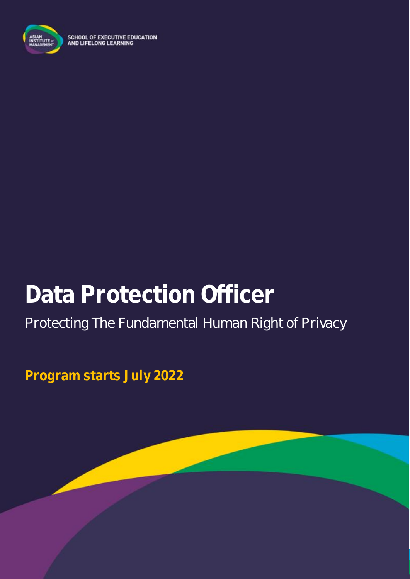

SCHOOL OF EXECUTIVE EDUCATION<br>AND LIFELONG LEARNING

# **Data Protection Officer**

# Protecting The Fundamental Human Right of Privacy

**Program starts July 2022**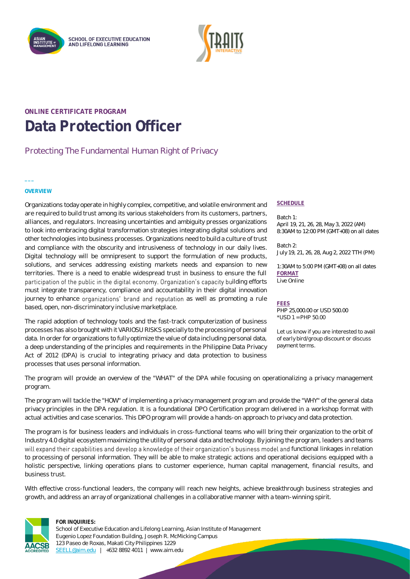



### **ONLINE CERTIFICATE PROGRAM Data Protection Officer**

### Protecting The Fundamental Human Right of Privacy

#### **OVERVIEW**

**\_\_\_**

Organizations today operate in highly complex, competitive, and volatile environment and are required to build trust among its various stakeholders from its customers, partners, alliances, and regulators. Increasing uncertainties and ambiguity presses organizations to look into embracing digital transformation strategies integrating digital solutions and other technologies into business processes. Organizations need to build a culture of trust and compliance with the obscurity and intrusiveness of technology in our daily lives. Digital technology will be omnipresent to support the formulation of new products, solutions, and services addressing existing markets needs and expansion to new territories. There is a need to enable widespread trust in business to ensure the full participation of the public in the digital economy. Organization's capacity building efforts must integrate transparency, compliance and accountability in their digital innovation journey to enhance organizations' brand and reputation as well as promoting a rule based, open, non-discriminatory inclusive marketplace.

The rapid adoption of technology tools and the fast-track computerization of business processes has also brought with it VARIOSU RISKS specially to the processing of personal data. In order for organizations to fully optimize the value of data including personal data, a deep understanding of the principles and requirements in the Philippine Data Privacy Act of 2012 (DPA) is crucial to integrating privacy and data protection to business processes that uses personal information.

#### **SCHEDULE**

Batch 1: April 19, 21, 26, 28, May 3, 2022 (AM) 8:30AM to 12:00 PM (GMT+08) on all dates

Batch 2: July 19, 21, 26, 28, Aug 2, 2022 TTH (PM)

1:30AM to 5:00 PM (GMT+08) on all dates **FORMAT** Live Online

**FEES** PHP 25,000.00 or USD 500.00 \*USD 1 = PHP 50.00

Let us know if you are interested to avail of early bird/group discount or discuss payment terms.

The program will provide an overview of the "WHAT" of the DPA while focusing on operationalizing a privacy management program.

The program will tackle the "HOW" of implementing a privacy management program and provide the "WHY" of the general data privacy principles in the DPA regulation. It is a foundational DPO Certification program delivered in a workshop format with actual activities and case scenarios. This DPO program will provide a hands-on approach to privacy and data protection.

The program is for business leaders and individuals in cross-functional teams who will bring their organization to the orbit of Industry 4.0 digital ecosystem maximizing the utility of personal data and technology. By joining the program, leaders and teams will expand their capabilities and develop a knowledge of their organization's business model and functional linkages in relation to processing of personal information. They will be able to make strategic actions and operational decisions equipped with a holistic perspective, linking operations plans to customer experience, human capital management, financial results, and business trust.

With effective cross-functional leaders, the company will reach new heights, achieve breakthrough business strategies and growth, and address an array of organizational challenges in a collaborative manner with a team-winning spirit.



#### **FOR INQUIRIES:**

School of Executive Education and Lifelong Learning, Asian Institute of Management Eugenio Lopez Foundation Building, Joseph R. McMicking Campus 123 Paseo de Roxas, Makati City Philippines 1229 [SEELL@aim.edu](mailto:SEELL@aim.edu) | +632 8892 4011 | www.aim.edu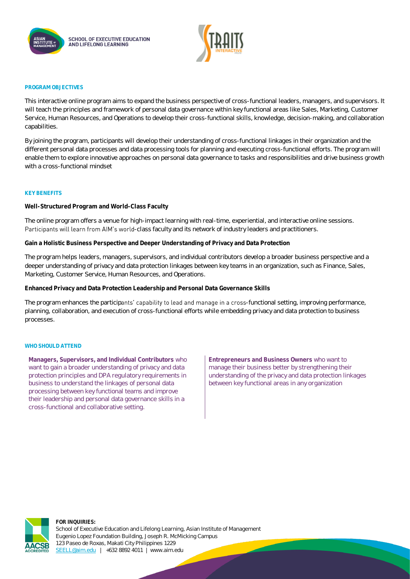



#### **PROGRAM OBJECTIVES**

This interactive online program aims to expand the business perspective of cross-functional leaders, managers, and supervisors. It will teach the principles and framework of personal data governance within key functional areas like Sales, Marketing, Customer Service, Human Resources, and Operations to develop their cross-functional skills, knowledge, decision-making, and collaboration capabilities.

By joining the program, participants will develop their understanding of cross-functional linkages in their organization and the different personal data processes and data processing tools for planning and executing cross-functional efforts. The program will enable them to explore innovative approaches on personal data governance to tasks and responsibilities and drive business growth with a cross-functional mindset

#### **KEY BENEFITS**

**Well-Structured Program and World-Class Faculty**

The online program offers a venue for high-impact learning with real-time, experiential, and interactive online sessions. Participants will learn from AIM's world-class faculty and its network of industry leaders and practitioners.

**Gain a Holistic Business Perspective and Deeper Understanding of Privacy and Data Protection**

The program helps leaders, managers, supervisors, and individual contributors develop a broader business perspective and a deeper understanding of privacy and data protection linkages between key teams in an organization, such as Finance, Sales, Marketing, Customer Service, Human Resources, and Operations.

**Enhanced Privacy and Data Protection Leadership and Personal Data Governance Skills**

The program enhances the participants' capability to lead and manage in a cross-functional setting, improving performance, planning, collaboration, and execution of cross-functional efforts while embedding privacy and data protection to business processes.

#### WHO SHOULD ATTEND

**Managers, Supervisors, and Individual Contributors** who want to gain a broader understanding of privacy and data protection principles and DPA regulatory requirements in business to understand the linkages of personal data processing between key functional teams and improve their leadership and personal data governance skills in a cross-functional and collaborative setting.

**Entrepreneurs and Business Owners** who want to manage their business better by strengthening their understanding of the privacy and data protection linkages between key functional areas in any organization



**FOR INQUIRIES:** School of Executive Education and Lifelong Learning, Asian Institute of Management Eugenio Lopez Foundation Building, Joseph R. McMicking Campus 123 Paseo de Roxas, Makati City Philippines 1229 [SEELL@aim.edu](mailto:SEELL@aim.edu) | +632 8892 4011 | www.aim.edu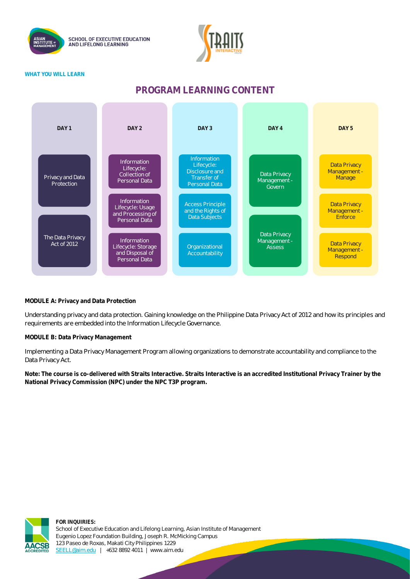



#### **WHAT YOU WILL LEARN**

### **PROGRAM LEARNING CONTENT**



#### **MODULE A: Privacy and Data Protection**

Understanding privacy and data protection. Gaining knowledge on the Philippine Data Privacy Act of 2012 and how its principles and requirements are embedded into the Information Lifecycle Governance.

**MODULE B: Data Privacy Management**

Implementing a Data Privacy Management Program allowing organizations to demonstrate accountability and compliance to the Data Privacy Act.

**Note: The course is co-delivered with Straits Interactive. Straits Interactive is an accredited Institutional Privacy Trainer by the National Privacy Commission (NPC) under the NPC T3P program.**

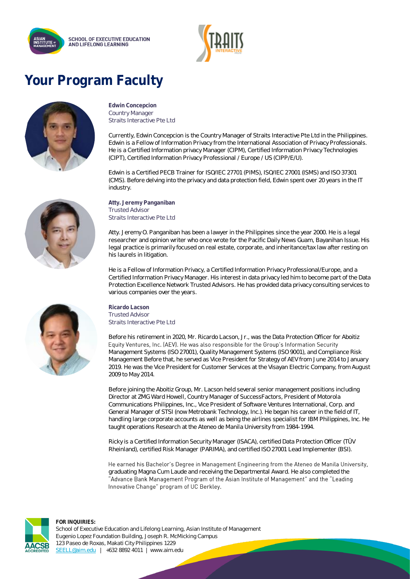



# **Your Program Faculty**



**Edwin Concepcion** Country Manager Straits Interactive Pte Ltd

Currently, Edwin Concepcion is the Country Manager of Straits Interactive Pte Ltd in the Philippines. Edwin is a Fellow of Information Privacy from the International Association of Privacy Professionals. He is a Certified Information privacy Manager (CIPM), Certified Information Privacy Technologies (CIPT), Certified Information Privacy Professional / Europe / US (CIPP/E/U).

Edwin is a Certified PECB Trainer for ISO/IEC 27701 (PIMS), ISO/IEC 27001 (ISMS) and ISO 37301 (CMS). Before delving into the privacy and data protection field, Edwin spent over 20 years in the IT industry.

**Atty. Jeremy Panganiban** Trusted Advisor Straits Interactive Pte Ltd

Atty. Jeremy O. Panganiban has been a lawyer in the Philippines since the year 2000. He is a legal researcher and opinion writer who once wrote for the Pacific Daily News Guam, Bayanihan Issue. His legal practice is primarily focused on real estate, corporate, and inheritance/tax law after resting on his laurels in litigation.

He is a Fellow of Information Privacy, a Certified Information Privacy Professional/Europe, and a Certified Information Privacy Manager. His interest in data privacy led him to become part of the Data Protection Excellence Network Trusted Advisors. He has provided data privacy consulting services to various companies over the years.

**Ricardo Lacson** Trusted Advisor Straits Interactive Pte Ltd

Before his retirement in 2020, Mr. Ricardo Lacson, Jr., was the Data Protection Officer for Aboitiz Equity Ventures, Inc. (AEV). He was also responsible for the Group's Information Security Management Systems (ISO 27001), Quality Management Systems (ISO 9001), and Compliance Risk Management Before that, he served as Vice President for Strategy of AEV from June 2014 to January 2019. He was the Vice President for Customer Services at the Visayan Electric Company, from August 2009 to May 2014.

Before joining the Aboitiz Group, Mr. Lacson held several senior management positions including Director at ZMG Ward Howell, Country Manager of SuccessFactors, President of Motorola Communications Philippines, Inc., Vice President of Software Ventures International, Corp. and General Manager of STSI (now Metrobank Technology, Inc.). He began his career in the field of IT, handling large corporate accounts as well as being the airlines specialist for IBM Philippines, Inc. He taught operations Research at the Ateneo de Manila University from 1984-1994.

Ricky is a Certified Information Security Manager (ISACA), certified Data Protection Officer (TÜV Rheinland), certified Risk Manager (PARIMA), and certified ISO 27001 Lead Implementer (BSI).

He earned his Bachelor's Degree in Management Engineering from the Ateneo de Manila University, graduating Magna Cum Laude and receiving the Departmental Award. He also completed the "Advance Bank Management Program of the Asian Institute of Management" and the "Leading Innovative Change" program of UC Berkley.



**FOR INQUIRIES:** School of Executive Education and Lifelong Learning, Asian Institute of Management Eugenio Lopez Foundation Building, Joseph R. McMicking Campus 123 Paseo de Roxas, Makati City Philippines 1229 [SEELL@aim.edu](mailto:SEELL@aim.edu) | +632 8892 4011 | www.aim.edu